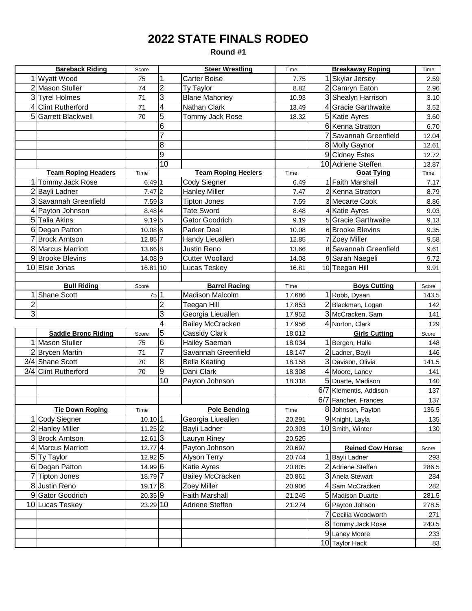## **2022 STATE FINALS RODEO**

**Round #1**

| <b>Bareback Riding</b>     |                            | Score                | <b>Steer Wrestling</b> |                            |        | <b>Breakaway Roping</b> |                         | Time  |
|----------------------------|----------------------------|----------------------|------------------------|----------------------------|--------|-------------------------|-------------------------|-------|
|                            | 1 Wyatt Wood               | 75                   |                        | Carter Boise               | 7.75   |                         | 1 Skylar Jersey         | 2.59  |
|                            | 2 Mason Stuller            | 74                   | $\overline{2}$         | Ty Taylor                  | 8.82   |                         | 2 Camryn Eaton          | 2.96  |
|                            | 3 Tyrel Holmes             | 71                   | $\overline{3}$         | <b>Blane Mahoney</b>       | 10.93  |                         | 3 Shealyn Harrison      | 3.10  |
|                            | 4 Clint Rutherford         | 71                   | 4                      | Nathan Clark               | 13.49  |                         | 4 Gracie Garthwaite     | 3.52  |
|                            | 5 Garrett Blackwell        | 70                   | $\overline{5}$         | Tommy Jack Rose            | 18.32  |                         | 5 Katie Ayres           | 3.60  |
|                            |                            |                      | 6                      |                            |        |                         | 6 Kenna Stratton        | 6.70  |
|                            |                            |                      |                        |                            |        |                         | 7 Savannah Greenfield   | 12.04 |
|                            |                            |                      | 8                      |                            |        |                         | 8 Molly Gaynor          | 12.61 |
|                            |                            |                      | 9                      |                            |        |                         | 9 Cidney Estes          | 12.72 |
|                            |                            |                      | 10                     |                            |        |                         | 10 Adriene Steffen      | 13.87 |
| <b>Team Roping Headers</b> |                            | Time                 |                        | <b>Team Roping Heelers</b> | Time   |                         | <b>Goat Tying</b>       | Time  |
|                            | 1 Tommy Jack Rose          | 6.491                |                        | Cody Siegner               | 6.49   |                         | 1 Faith Marshall        | 7.17  |
|                            | 2 Bayli Ladner             | $7.47$ 2             |                        | <b>Hanley Miller</b>       | 7.47   |                         | 2 Kenna Stratton        | 8.79  |
|                            | 3 Savannah Greenfield      | $7.59$ 3             |                        | <b>Tipton Jones</b>        | 7.59   |                         | 3 Mecarte Cook          | 8.86  |
|                            | 4 Payton Johnson           | 8.48 4               |                        | <b>Tate Sword</b>          | 8.48   |                         | 4 Katie Ayres           | 9.03  |
|                            | 5 Talia Akins              | 9.195                |                        | <b>Gator Goodrich</b>      | 9.19   |                         | 5 Gracie Garthwaite     | 9.13  |
|                            | 6 Degan Patton             | 10.08 6              |                        | Parker Deal                | 10.08  |                         | 6 Brooke Blevins        | 9.35  |
|                            | 7 Brock Arntson            | 12.85                |                        | Handy Lieuallen            | 12.85  |                         | 7 Zoey Miller           | 9.58  |
|                            | 8 Marcus Marriott          | 13.66 8              |                        | Justin Reno                | 13.66  |                         | 8 Savannah Greenfield   | 9.61  |
|                            | 9 Brooke Blevins           | 14.089               |                        | <b>Cutter Woollard</b>     | 14.08  |                         | 9 Sarah Naegeli         | 9.72  |
|                            | 10 Elsie Jonas             | 16.81 10             |                        | Lucas Teskey               | 16.81  |                         | 10 Teegan Hill          | 9.91  |
|                            |                            |                      |                        |                            |        |                         |                         |       |
|                            | <b>Bull Riding</b>         | Score                |                        | <b>Barrel Racing</b>       | Time   |                         | <b>Boys Cutting</b>     | Score |
|                            | 1 Shane Scott              | $75$ <sup>1</sup>    |                        | <b>Madison Malcolm</b>     | 17.686 |                         | 1 Robb, Dysan           | 143.5 |
| 2                          |                            |                      | $\overline{2}$         | Teegan Hill                | 17.853 |                         | 2 Blackman, Logan       | 142   |
| دن                         |                            |                      | 3                      | Georgia Lieuallen          | 17.952 |                         | 3 McCracken, Sam        | 141   |
|                            |                            |                      | 4                      | <b>Bailey McCracken</b>    | 17.956 |                         | 4 Norton, Clark         | 129   |
|                            | <b>Saddle Bronc Riding</b> | Score                | $\overline{5}$         | <b>Cassidy Clark</b>       | 18.012 |                         | <b>Girls Cutting</b>    | Score |
|                            | 1 Mason Stuller            | 75                   | 6                      | Hailey Saeman              | 18.034 |                         | 1 Bergen, Halle         | 148   |
|                            | 2 Brycen Martin            | 71                   | $\overline{7}$         | Savannah Greenfield        | 18.147 |                         | 2 Ladner, Bayli         | 146   |
|                            | 3/4 Shane Scott            | 70                   | 8                      | <b>Bella Keating</b>       | 18.158 |                         | 3 Davison, Olivia       | 141.5 |
|                            | 3/4 Clint Rutherford       | 70                   | $\overline{9}$         | Dani Clark                 | 18.308 |                         | 4 Moore, Laney          | 141   |
|                            |                            |                      | 10                     | Payton Johnson             | 18.318 |                         | 5 Duarte, Madison       | 140   |
|                            |                            |                      |                        |                            |        |                         | 6/7 Klementis, Addison  | 137   |
|                            |                            |                      |                        |                            |        |                         | 6/7 Fancher, Frances    | 137   |
|                            | <b>Tie Down Roping</b>     | Time                 |                        | <b>Pole Bending</b>        | Time   |                         | 8 Johnson, Payton       | 136.5 |
|                            | <b>Cody Siegner</b>        | $10.10$ 1            |                        | Georgia Liueallen          | 20.291 |                         | 9 Knight, Layla         | 135   |
|                            | 2 Hanley Miller            | $11.25$ <sub>2</sub> |                        | Bayli Ladner               | 20.303 |                         | 10 Smith, Winter        | 130   |
|                            | 3 Brock Arntson            | $12.61$ 3            |                        | Lauryn Riney               | 20.525 |                         |                         |       |
|                            | 4 Marcus Marriott          | $12.77$ 4            |                        | Payton Johnson             | 20.697 |                         | <b>Reined Cow Horse</b> | Score |
|                            | 5 Ty Taylor                | 12.92 5              |                        | Alyson Terry               | 20.744 |                         | 1 Bayli Ladner          | 293   |
|                            | 6 Degan Patton             | 14.99 6              |                        | <b>Katie Ayres</b>         | 20.805 |                         | 2 Adriene Steffen       | 286.5 |
|                            | 7 Tipton Jones             | 18.79 7              |                        | <b>Bailey McCracken</b>    | 20.861 |                         | 3 Anela Stewart         | 284   |
|                            | 8 Justin Reno              | 19.17 8              |                        | Zoey Miller                | 20.906 |                         | 4 Sam McCracken         | 282   |
|                            | 9 Gator Goodrich           | 20.35 9              |                        | Faith Marshall             | 21.245 |                         | 5 Madison Duarte        | 281.5 |
|                            | 10 Lucas Teskey            | 23.29 10             |                        | Adriene Steffen            | 21.274 |                         | 6 Payton Johson         | 278.5 |
|                            |                            |                      |                        |                            |        |                         | 7 Cecilia Woodworth     | 271   |
|                            |                            |                      |                        |                            |        |                         | 8 Tommy Jack Rose       | 240.5 |
|                            |                            |                      |                        |                            |        |                         | 9 Laney Moore           | 233   |
|                            |                            |                      |                        |                            |        |                         | 10 Taylor Hack          | 83    |
|                            |                            |                      |                        |                            |        |                         |                         |       |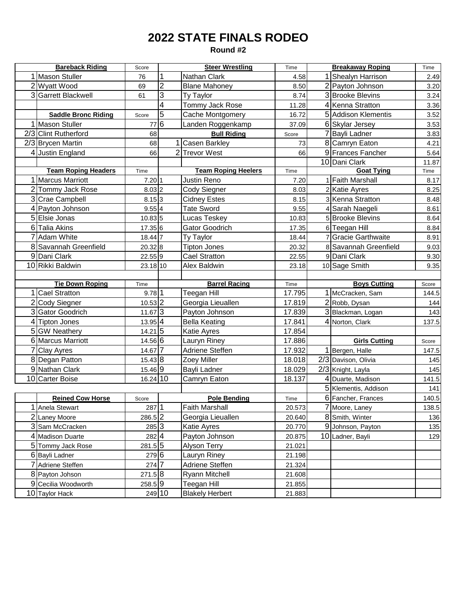## **2022 STATE FINALS RODEO**

**Round #2**

| <b>Bareback Riding</b>         |                            | Score                | <b>Steer Wrestling</b> |                            | Time                | <b>Breakaway Roping</b> |                       | Time  |
|--------------------------------|----------------------------|----------------------|------------------------|----------------------------|---------------------|-------------------------|-----------------------|-------|
|                                | 1 Mason Stuller            | 76                   | 1                      | Nathan Clark               | 4.58                |                         | 1 Shealyn Harrison    | 2.49  |
|                                | 2 Wyatt Wood               | 69                   | $\overline{2}$         | <b>Blane Mahoney</b>       | 8.50                |                         | 2 Payton Johnson      | 3.20  |
|                                | 3 Garrett Blackwell        | 61                   | $\overline{3}$         | Ty Taylor                  | 8.74                |                         | 3 Brooke Blevins      | 3.24  |
|                                |                            |                      | 4                      | Tommy Jack Rose            | 11.28               |                         | 4 Kenna Stratton      | 3.36  |
|                                | <b>Saddle Bronc Riding</b> | Score                | 5                      | Cache Montgomery           | 16.72               |                         | 5 Addison Klementis   | 3.52  |
|                                | 1 Mason Stuller            | 77                   | $\overline{6}$         | Landen Roggenkamp          | 37.09               |                         | 6 Skylar Jersey       | 3.53  |
|                                | 2/3 Clint Rutherford       | 68                   |                        | <b>Bull Riding</b>         | Score               |                         | 7 Bayli Ladner        | 3.83  |
|                                | 2/3 Brycen Martin          | 68                   |                        | 1 Casen Barkley            | 73                  |                         | 8 Camryn Eaton        | 4.21  |
|                                | 4 Justin England           | 66                   |                        | 2 Trevor West              | 66                  |                         | 9 Frances Fancher     | 5.64  |
|                                |                            |                      |                        |                            |                     |                         | 10 Dani Clark         | 11.87 |
|                                | <b>Team Roping Headers</b> | Time                 |                        | <b>Team Roping Heelers</b> | Time                |                         | <b>Goat Tying</b>     | Time  |
|                                | 1 Marcus Marriott          | 7.2011               |                        | Justin Reno                | 7.20                |                         | 1 Faith Marshall      | 8.17  |
|                                | 2 Tommy Jack Rose          | 8.03 2               |                        | Cody Siegner               | 8.03                |                         | 2 Katie Ayres         | 8.25  |
|                                | 3 Crae Campbell            | $8.15 \, 3$          |                        | <b>Cidney Estes</b>        | 8.15                |                         | 3 Kenna Stratton      | 8.48  |
|                                | 4 Payton Johnson           | 9.554                |                        | <b>Tate Sword</b>          | 9.55                |                         | 4 Sarah Naegeli       | 8.61  |
|                                | 5 Elsie Jonas              | 10.83 5              |                        | Lucas Teskey               | 10.83               |                         | 5 Brooke Blevins      | 8.64  |
|                                | 6 Talia Akins              | 17.35 6              |                        | Gator Goodrich             | 17.35               |                         | 6 Teegan Hill         | 8.84  |
|                                | 7 Adam White               | 18.44 7              |                        | Ty Taylor                  | 18.44               |                         | 7 Gracie Garthwaite   | 8.91  |
|                                | 8 Savannah Greenfield      | 20.32 8              |                        | <b>Tipton Jones</b>        | 20.32               |                         | 8 Savannah Greenfield | 9.03  |
|                                | 9 Dani Clark               | 22.55 9              |                        | <b>Cael Stratton</b>       | 22.55               |                         | 9 Dani Clark          | 9.30  |
|                                | 10 Rikki Baldwin           | 23.18 10             |                        | Alex Baldwin               | 23.18               |                         | 10 Sage Smith         | 9.35  |
|                                |                            |                      |                        |                            |                     |                         |                       |       |
| <b>Tie Down Roping</b><br>Time |                            | <b>Barrel Racing</b> |                        | Time                       | <b>Boys Cutting</b> |                         | Score                 |       |
|                                | 1 Cael Stratton            | 9.781                |                        | Teegan Hill                | 17.795              |                         | 1 McCracken, Sam      | 144.5 |
|                                | 2 Cody Siegner             | 10.53 2              |                        | Georgia Lieuallen          | 17.819              |                         | 2 Robb, Dysan         | 144   |
|                                | 3 Gator Goodrich           | 11.67 3              |                        | Payton Johnson             | 17.839              |                         | 3 Blackman, Logan     | 143   |
|                                | 4 Tipton Jones             | 13.95 4              |                        | <b>Bella Keating</b>       | 17.841              |                         | 4 Norton, Clark       | 137.5 |
|                                | 5 GW Neathery              | 14.21 5              |                        | Katie Ayres                | 17.854              |                         |                       |       |
|                                | 6 Marcus Marriott          | 14.56 6              |                        | Lauryn Riney               | 17.886              |                         | <b>Girls Cutting</b>  | Score |
|                                | 7 Clay Ayres               | 14.67 7              |                        | Adriene Steffen            | 17.932              |                         | 1 Bergen, Halle       | 147.5 |
|                                | 8 Degan Patton             | 15.43 8              |                        | Zoey Miller                | 18.018              |                         | 2/3 Davison, Olivia   | 145   |
|                                | 9 Nathan Clark             | $15.46\overline{9}$  |                        | Bayli Ladner               | 18.029              |                         | 2/3 Knight, Layla     | 145   |
|                                | 10 Carter Boise            | 16.24 10             |                        | Camryn Eaton               | 18.137              |                         | 4 Duarte, Madison     | 141.5 |
|                                |                            |                      |                        |                            |                     |                         | 5 Klementis, Addison  | 141   |
|                                | <b>Reined Cow Horse</b>    | Score                |                        | <b>Pole Bending</b>        | Time                |                         | 6 Fancher, Frances    | 140.5 |
|                                | 1 Anela Stewart            | $287\overline{11}$   |                        | <b>Faith Marshall</b>      | 20.573              |                         | 7 Moore, Laney        | 138.5 |
|                                | 2 Laney Moore              | 286.5 2              |                        | Georgia Lieuallen          | 20.640              |                         | 8 Smith, Winter       | 136   |
|                                | 3 Sam McCracken            | 285 3                |                        | Katie Ayres                | 20.770              |                         | 9 Johnson, Payton     | 135   |
|                                | 4 Madison Duarte           | 282 4                |                        | Payton Johnson             | 20.875              |                         | 10 Ladner, Bayli      | 129   |
|                                | 5 Tommy Jack Rose          | 281.5 5              |                        | Alyson Terry               | 21.021              |                         |                       |       |
|                                | 6 Bayli Ladner             | 279 6                |                        | Lauryn Riney               | 21.198              |                         |                       |       |
|                                | 7 Adriene Steffen          | $274 \, 7$           |                        | Adriene Steffen            | 21.324              |                         |                       |       |
|                                | 8 Payton Johson            | 271.58               |                        | <b>Ryann Mitchell</b>      | 21.608              |                         |                       |       |
|                                | 9 Cecilia Woodworth        | 258.59               |                        | Teegan Hill                | 21.855              |                         |                       |       |
|                                | 10 Taylor Hack             | 249 10               |                        | <b>Blakely Herbert</b>     | 21.883              |                         |                       |       |